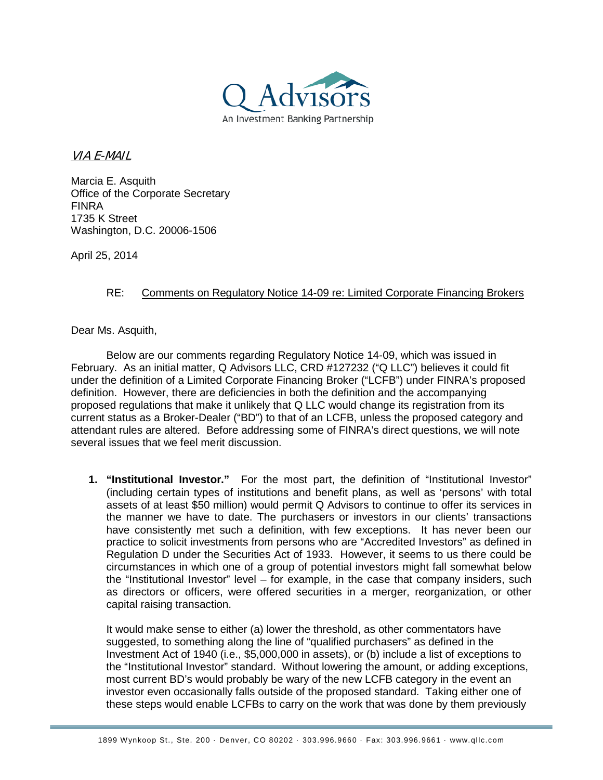

VIA E-MAIL

Marcia E. Asquith Office of the Corporate Secretary FINRA 1735 K Street Washington, D.C. 20006-1506

April 25, 2014

## RE: Comments on Regulatory Notice 14-09 re: Limited Corporate Financing Brokers

Dear Ms. Asquith,

Below are our comments regarding Regulatory Notice 14-09, which was issued in February. As an initial matter, Q Advisors LLC, CRD #127232 ("Q LLC") believes it could fit under the definition of a Limited Corporate Financing Broker ("LCFB") under FINRA's proposed definition. However, there are deficiencies in both the definition and the accompanying proposed regulations that make it unlikely that Q LLC would change its registration from its current status as a Broker-Dealer ("BD") to that of an LCFB, unless the proposed category and attendant rules are altered. Before addressing some of FINRA's direct questions, we will note several issues that we feel merit discussion.

**1. "Institutional Investor."** For the most part, the definition of "Institutional Investor" (including certain types of institutions and benefit plans, as well as 'persons' with total assets of at least \$50 million) would permit Q Advisors to continue to offer its services in the manner we have to date. The purchasers or investors in our clients' transactions have consistently met such a definition, with few exceptions. It has never been our practice to solicit investments from persons who are "Accredited Investors" as defined in Regulation D under the Securities Act of 1933. However, it seems to us there could be circumstances in which one of a group of potential investors might fall somewhat below the "Institutional Investor" level – for example, in the case that company insiders, such as directors or officers, were offered securities in a merger, reorganization, or other capital raising transaction.

It would make sense to either (a) lower the threshold, as other commentators have suggested, to something along the line of "qualified purchasers" as defined in the Investment Act of 1940 (i.e., \$5,000,000 in assets), or (b) include a list of exceptions to the "Institutional Investor" standard. Without lowering the amount, or adding exceptions, most current BD's would probably be wary of the new LCFB category in the event an investor even occasionally falls outside of the proposed standard. Taking either one of these steps would enable LCFBs to carry on the work that was done by them previously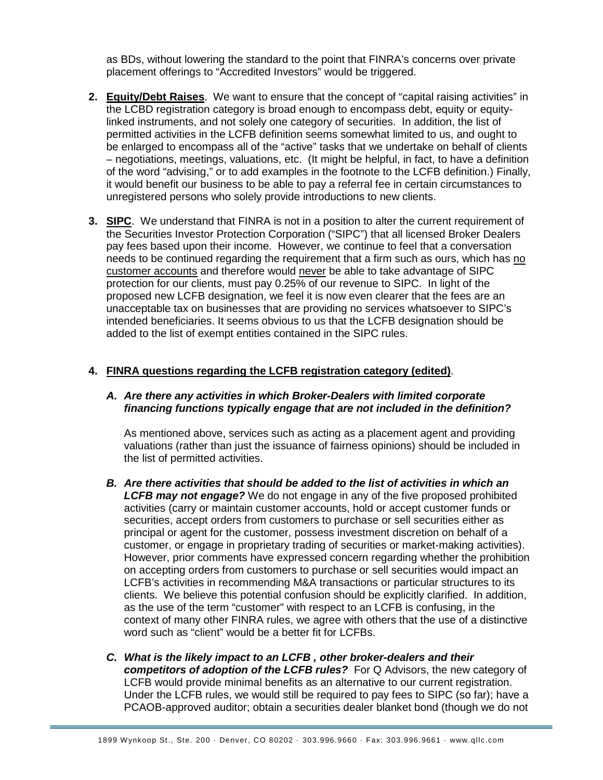as BDs, without lowering the standard to the point that FINRA's concerns over private placement offerings to "Accredited Investors" would be triggered.

- **2. Equity/Debt Raises**. We want to ensure that the concept of "capital raising activities" in the LCBD registration category is broad enough to encompass debt, equity or equitylinked instruments, and not solely one category of securities. In addition, the list of permitted activities in the LCFB definition seems somewhat limited to us, and ought to be enlarged to encompass all of the "active" tasks that we undertake on behalf of clients – negotiations, meetings, valuations, etc. (It might be helpful, in fact, to have a definition of the word "advising," or to add examples in the footnote to the LCFB definition.) Finally, it would benefit our business to be able to pay a referral fee in certain circumstances to unregistered persons who solely provide introductions to new clients.
- **3. SIPC**. We understand that FINRA is not in a position to alter the current requirement of the Securities Investor Protection Corporation ("SIPC") that all licensed Broker Dealers pay fees based upon their income. However, we continue to feel that a conversation needs to be continued regarding the requirement that a firm such as ours, which has no customer accounts and therefore would never be able to take advantage of SIPC protection for our clients, must pay 0.25% of our revenue to SIPC. In light of the proposed new LCFB designation, we feel it is now even clearer that the fees are an unacceptable tax on businesses that are providing no services whatsoever to SIPC's intended beneficiaries. It seems obvious to us that the LCFB designation should be added to the list of exempt entities contained in the SIPC rules.

## **4. FINRA questions regarding the LCFB registration category (edited)**.

## *A. Are there any activities in which Broker-Dealers with limited corporate financing functions typically engage that are not included in the definition?*

As mentioned above, services such as acting as a placement agent and providing valuations (rather than just the issuance of fairness opinions) should be included in the list of permitted activities.

- *B. Are there activities that should be added to the list of activities in which an LCFB may not engage?* We do not engage in any of the five proposed prohibited activities (carry or maintain customer accounts, hold or accept customer funds or securities, accept orders from customers to purchase or sell securities either as principal or agent for the customer, possess investment discretion on behalf of a customer, or engage in proprietary trading of securities or market-making activities). However, prior comments have expressed concern regarding whether the prohibition on accepting orders from customers to purchase or sell securities would impact an LCFB's activities in recommending M&A transactions or particular structures to its clients. We believe this potential confusion should be explicitly clarified. In addition, as the use of the term "customer" with respect to an LCFB is confusing, in the context of many other FINRA rules, we agree with others that the use of a distinctive word such as "client" would be a better fit for LCFBs.
- *C. What is the likely impact to an LCFB , other broker-dealers and their competitors of adoption of the LCFB rules?* For Q Advisors, the new category of LCFB would provide minimal benefits as an alternative to our current registration. Under the LCFB rules, we would still be required to pay fees to SIPC (so far); have a PCAOB-approved auditor; obtain a securities dealer blanket bond (though we do not